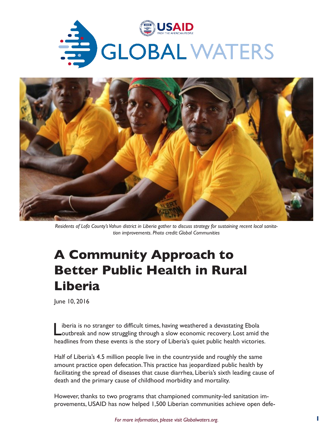



*Residents of Lofa County's Vahun district in Liberia gather to discuss strategy for sustaining recent local sanitation improvements. Photo credit: Global Communities*

# **A Community Approach to Better Public Health in Rural Liberia**

June 10, 2016

Liberia is no stranger to difficult times, having weathered a devastating Ebola<br>
Loutbreak and now struggling through a slow economic recovery. Lost amid the headlines from these events is the story of Liberia's quiet public health victories.

Half of Liberia's 4.5 million people live in the countryside and roughly the same amount practice open defecation. This practice has jeopardized public health by facilitating the spread of diseases that cause diarrhea, Liberia's sixth leading cause of death and the primary cause of childhood morbidity and mortality.

However, thanks to two programs that championed community-led sanitation improvements, USAID has now helped 1,500 Liberian communities achieve open defe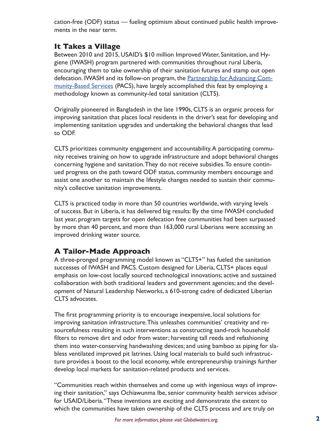cation-free (ODF) status — fueling optimism about continued public health improvements in the near term.

### **It Takes a Village**

Between 2010 and 2015, USAID's \$10 million Improved Water, Sanitation, and Hygiene (IWASH) program partnered with communities throughout rural Liberia, encouraging them to take ownership of their sanitation futures and stamp out open defecation. IWASH and its follow-on program, the **[Partnership for Advancing Com](https://www.globalcommunities.org/node/38123)**[munity-Based Services](https://www.globalcommunities.org/node/38123) (PACS), have largely accomplished this feat by employing a methodology known as community-led total sanitation (CLTS).

Originally pioneered in Bangladesh in the late 1990s, CLTS is an organic process for improving sanitation that places local residents in the driver's seat for developing and implementing sanitation upgrades and undertaking the behavioral changes that lead to ODF.

CLTS prioritizes community engagement and accountability. A participating community receives training on how to upgrade infrastructure and adopt behavioral changes concerning hygiene and sanitation. They do not receive subsidies. To ensure continued progress on the path toward ODF status, community members encourage and assist one another to maintain the lifestyle changes needed to sustain their community's collective sanitation improvements.

CLTS is practiced today in more than 50 countries worldwide, with varying levels of success. But in Liberia, it has delivered big results: By the time IWASH concluded last year, program targets for open defecation free communities had been surpassed by more than 40 percent, and more than 163,000 rural Liberians were accessing an improved drinking water source.

## **A Tailor-Made Approach**

A three-pronged programming model known as "CLTS+" has fueled the sanitation successes of IWASH and PACS. Custom designed for Liberia, CLTS+ places equal emphasis on low-cost locally sourced technological innovations; active and sustained collaboration with both traditional leaders and government agencies; and the development of Natural Leadership Networks, a 610-strong cadre of dedicated Liberian CLTS advocates.

The first programming priority is to encourage inexpensive, local solutions for improving sanitation infrastructure. This unleashes communities' creativity and resourcefulness resulting in such interventions as constructing sand-rock household filters to remove dirt and odor from water; harvesting tall reeds and refashioning them into water-conserving handwashing devices; and using bamboo as piping for slabless ventilated improved pit latrines. Using local materials to build such infrastructure provides a boost to the local economy, while entrepreneurship trainings further develop local markets for sanitation-related products and services.

"Communities reach within themselves and come up with ingenious ways of improving their sanitation," says Ochiawunma Ibe, senior community health services advisor for USAID/Liberia. "These inventions are exciting and demonstrate the extent to which the communities have taken ownership of the CLTS process and are truly on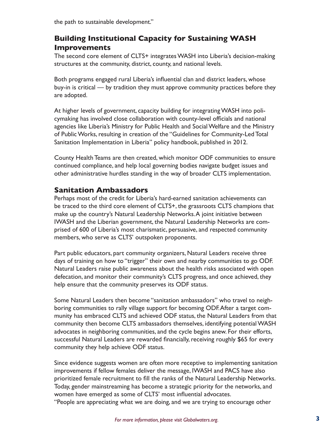the path to sustainable development."

### **Building Institutional Capacity for Sustaining WASH Improvements**

The second core element of CLTS+ integrates WASH into Liberia's decision-making structures at the community, district, county, and national levels.

Both programs engaged rural Liberia's influential clan and district leaders, whose buy-in is critical — by tradition they must approve community practices before they are adopted.

At higher levels of government, capacity building for integrating WASH into policymaking has involved close collaboration with county-level officials and national agencies like Liberia's Ministry for Public Health and Social Welfare and the Ministry of Public Works, resulting in creation of the "Guidelines for Community-Led Total Sanitation Implementation in Liberia" policy handbook, published in 2012.

County Health Teams are then created, which monitor ODF communities to ensure continued compliance, and help local governing bodies navigate budget issues and other administrative hurdles standing in the way of broader CLTS implementation.

#### **Sanitation Ambassadors**

Perhaps most of the credit for Liberia's hard-earned sanitation achievements can be traced to the third core element of CLTS+, the grassroots CLTS champions that make up the country's Natural Leadership Networks. A joint initiative between IWASH and the Liberian government, the Natural Leadership Networks are comprised of 600 of Liberia's most charismatic, persuasive, and respected community members, who serve as CLTS' outspoken proponents.

Part public educators, part community organizers, Natural Leaders receive three days of training on how to "trigger" their own and nearby communities to go ODF. Natural Leaders raise public awareness about the health risks associated with open defecation, and monitor their community's CLTS progress, and once achieved, they help ensure that the community preserves its ODF status.

Some Natural Leaders then become "sanitation ambassadors" who travel to neighboring communities to rally village support for becoming ODF. After a target community has embraced CLTS and achieved ODF status, the Natural Leaders from that community then become CLTS ambassadors themselves, identifying potential WASH advocates in neighboring communities, and the cycle begins anew. For their efforts, successful Natural Leaders are rewarded financially, receiving roughly \$65 for every community they help achieve ODF status.

Since evidence suggests women are often more receptive to implementing sanitation improvements if fellow females deliver the message, IWASH and PACS have also prioritized female recruitment to fill the ranks of the Natural Leadership Networks. Today, gender mainstreaming has become a strategic priority for the networks, and women have emerged as some of CLTS' most influential advocates.

"People are appreciating what we are doing, and we are trying to encourage other